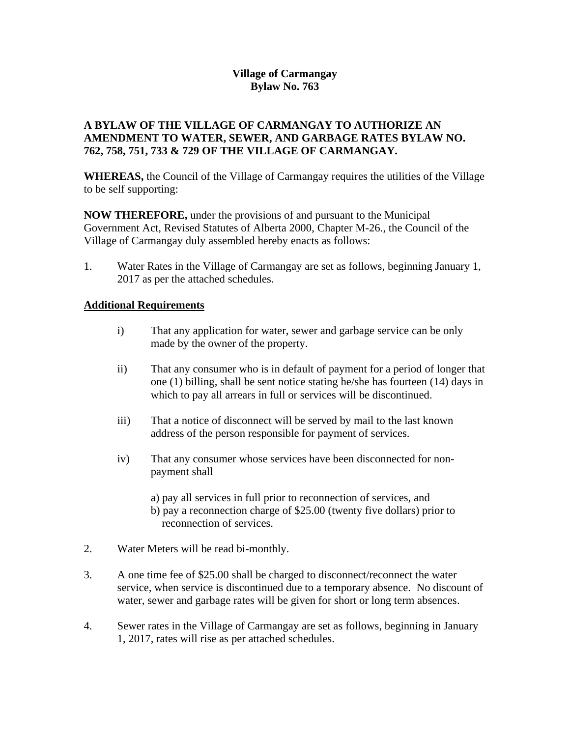# **Village of Carmangay Bylaw No. 763**

## **A BYLAW OF THE VILLAGE OF CARMANGAY TO AUTHORIZE AN AMENDMENT TO WATER, SEWER, AND GARBAGE RATES BYLAW NO. 762, 758, 751, 733 & 729 OF THE VILLAGE OF CARMANGAY.**

**WHEREAS,** the Council of the Village of Carmangay requires the utilities of the Village to be self supporting:

**NOW THEREFORE,** under the provisions of and pursuant to the Municipal Government Act, Revised Statutes of Alberta 2000, Chapter M-26., the Council of the Village of Carmangay duly assembled hereby enacts as follows:

1. Water Rates in the Village of Carmangay are set as follows, beginning January 1, 2017 as per the attached schedules.

## **Additional Requirements**

- i) That any application for water, sewer and garbage service can be only made by the owner of the property.
- ii) That any consumer who is in default of payment for a period of longer that one (1) billing, shall be sent notice stating he/she has fourteen (14) days in which to pay all arrears in full or services will be discontinued.
- iii) That a notice of disconnect will be served by mail to the last known address of the person responsible for payment of services.
- iv) That any consumer whose services have been disconnected for nonpayment shall
	- a) pay all services in full prior to reconnection of services, and b) pay a reconnection charge of \$25.00 (twenty five dollars) prior to reconnection of services.
- 2. Water Meters will be read bi-monthly.
- 3. A one time fee of \$25.00 shall be charged to disconnect/reconnect the water service, when service is discontinued due to a temporary absence. No discount of water, sewer and garbage rates will be given for short or long term absences.
- 4. Sewer rates in the Village of Carmangay are set as follows, beginning in January 1, 2017, rates will rise as per attached schedules.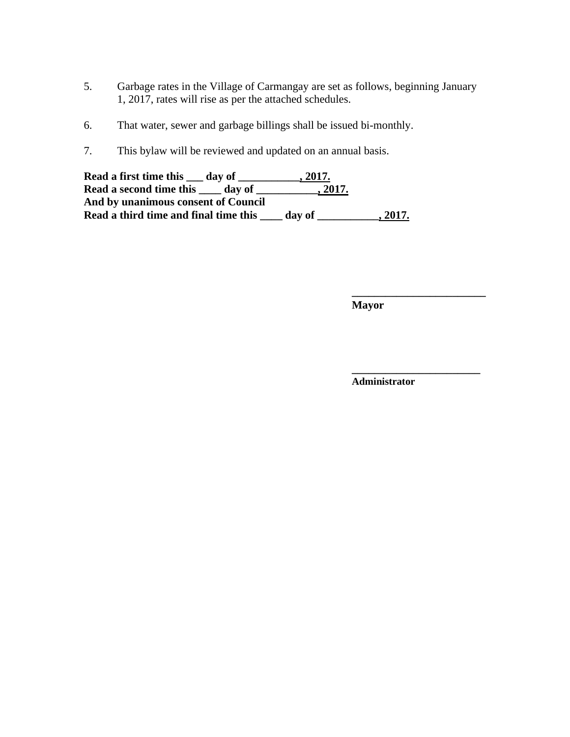- 5. Garbage rates in the Village of Carmangay are set as follows, beginning January 1, 2017, rates will rise as per the attached schedules.
- 6. That water, sewer and garbage billings shall be issued bi-monthly.
- 7. This bylaw will be reviewed and updated on an annual basis.

| Read a first time this <u>day</u> of  | 2017.  |       |
|---------------------------------------|--------|-------|
| Read a second time this<br>day of     | 2017.  |       |
| And by unanimous consent of Council   |        |       |
| Read a third time and final time this | day of | 2017. |

**Mayor**

**\_\_\_\_\_\_\_\_\_\_\_\_\_\_\_\_\_\_\_\_\_\_\_\_**

**\_\_\_\_\_\_\_\_\_\_\_\_\_\_\_\_\_\_\_\_\_\_\_**

**Administrator**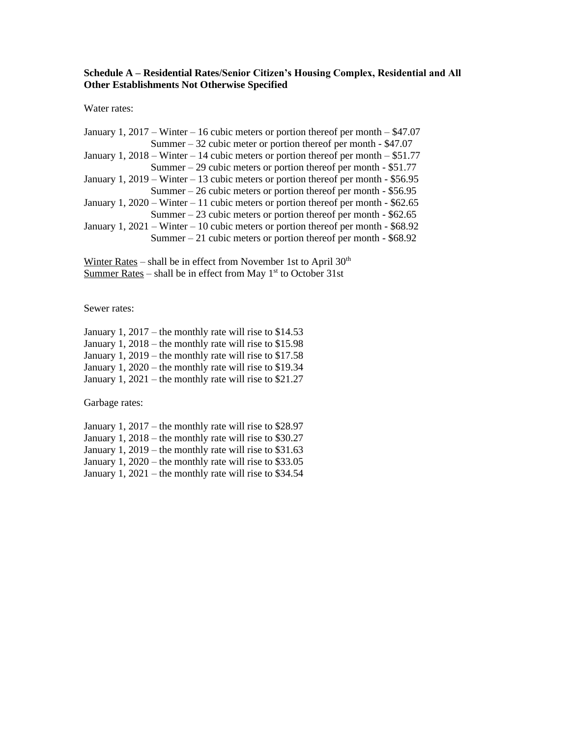#### **Schedule A – Residential Rates/Senior Citizen's Housing Complex, Residential and All Other Establishments Not Otherwise Specified**

Water rates:

| January 1, 2017 – Winter – 16 cubic meters or portion thereof per month – $$47.07$   |
|--------------------------------------------------------------------------------------|
| Summer $-32$ cubic meter or portion thereof per month $-$ \$47.07                    |
| January 1, 2018 – Winter – 14 cubic meters or portion thereof per month – \$51.77    |
| Summer $-29$ cubic meters or portion thereof per month $-$ \$51.77                   |
| January 1, $2019 -$ Winter $-13$ cubic meters or portion thereof per month - \$56.95 |
| Summer $-26$ cubic meters or portion thereof per month - \$56.95                     |
| January 1, $2020 -$ Winter $-11$ cubic meters or portion thereof per month - \$62.65 |
| Summer $-23$ cubic meters or portion thereof per month - \$62.65                     |
| January 1, $2021 -$ Winter – 10 cubic meters or portion thereof per month - \$68.92  |
| Summer $-21$ cubic meters or portion thereof per month - \$68.92                     |

Winter Rates – shall be in effect from November 1st to April  $30<sup>th</sup>$ Summer Rates – shall be in effect from May  $1<sup>st</sup>$  to October 31st

Sewer rates:

January 1, 2017 – the monthly rate will rise to \$14.53 January 1, 2018 – the monthly rate will rise to \$15.98 January 1, 2019 – the monthly rate will rise to \$17.58 January 1, 2020 – the monthly rate will rise to \$19.34 January 1,  $2021$  – the monthly rate will rise to \$21.27

Garbage rates:

| January 1, 2017 – the monthly rate will rise to $$28.97$  |  |
|-----------------------------------------------------------|--|
| January 1, $2018$ – the monthly rate will rise to \$30.27 |  |
| January 1, $2019$ – the monthly rate will rise to \$31.63 |  |
| January 1, $2020$ – the monthly rate will rise to \$33.05 |  |
| January 1, $2021$ – the monthly rate will rise to \$34.54 |  |